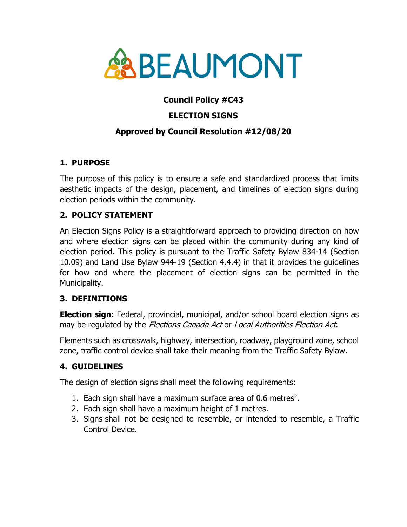

# **Council Policy #C43**

## **ELECTION SIGNS**

### **Approved by Council Resolution #12/08/20**

### **1. PURPOSE**

The purpose of this policy is to ensure a safe and standardized process that limits aesthetic impacts of the design, placement, and timelines of election signs during election periods within the community.

### **2. POLICY STATEMENT**

An Election Signs Policy is a straightforward approach to providing direction on how and where election signs can be placed within the community during any kind of election period. This policy is pursuant to the Traffic Safety Bylaw 834-14 (Section 10.09) and Land Use Bylaw 944-19 (Section 4.4.4) in that it provides the guidelines for how and where the placement of election signs can be permitted in the Municipality.

#### **3. DEFINITIONS**

**Election sign**: Federal, provincial, municipal, and/or school board election signs as may be regulated by the *Elections Canada Act* or *Local Authorities Election Act.* 

Elements such as crosswalk, highway, intersection, roadway, playground zone, school zone, traffic control device shall take their meaning from the Traffic Safety Bylaw.

### **4. GUIDELINES**

The design of election signs shall meet the following requirements:

- 1. Each sign shall have a maximum surface area of 0.6 metres<sup>2</sup>.
- 2. Each sign shall have a maximum height of 1 metres.
- 3. Signs shall not be designed to resemble, or intended to resemble, a Traffic Control Device.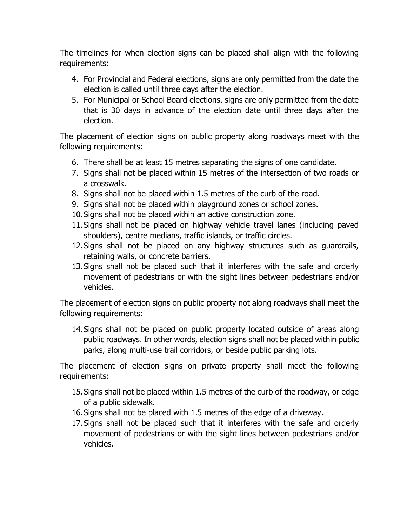The timelines for when election signs can be placed shall align with the following requirements:

- 4. For Provincial and Federal elections, signs are only permitted from the date the election is called until three days after the election.
- 5. For Municipal or School Board elections, signs are only permitted from the date that is 30 days in advance of the election date until three days after the election.

The placement of election signs on public property along roadways meet with the following requirements:

- 6. There shall be at least 15 metres separating the signs of one candidate.
- 7. Signs shall not be placed within 15 metres of the intersection of two roads or a crosswalk.
- 8. Signs shall not be placed within 1.5 metres of the curb of the road.
- 9. Signs shall not be placed within playground zones or school zones.
- 10.Signs shall not be placed within an active construction zone.
- 11.Signs shall not be placed on highway vehicle travel lanes (including paved shoulders), centre medians, traffic islands, or traffic circles.
- 12.Signs shall not be placed on any highway structures such as guardrails, retaining walls, or concrete barriers.
- 13.Signs shall not be placed such that it interferes with the safe and orderly movement of pedestrians or with the sight lines between pedestrians and/or vehicles.

The placement of election signs on public property not along roadways shall meet the following requirements:

14.Signs shall not be placed on public property located outside of areas along public roadways. In other words, election signs shall not be placed within public parks, along multi-use trail corridors, or beside public parking lots.

The placement of election signs on private property shall meet the following requirements:

- 15.Signs shall not be placed within 1.5 metres of the curb of the roadway, or edge of a public sidewalk.
- 16.Signs shall not be placed with 1.5 metres of the edge of a driveway.
- 17.Signs shall not be placed such that it interferes with the safe and orderly movement of pedestrians or with the sight lines between pedestrians and/or vehicles.